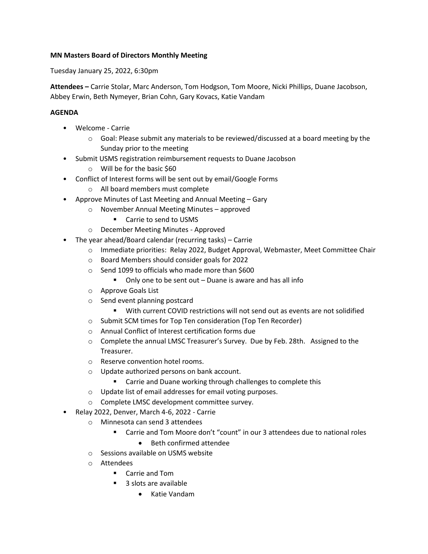## **MN Masters Board of Directors Monthly Meeting**

Tuesday January 25, 2022, 6:30pm

**Attendees –** Carrie Stolar, Marc Anderson, Tom Hodgson, Tom Moore, Nicki Phillips, Duane Jacobson, Abbey Erwin, Beth Nymeyer, Brian Cohn, Gary Kovacs, Katie Vandam

## **AGENDA**

- Welcome Carrie
	- $\circ$  Goal: Please submit any materials to be reviewed/discussed at a board meeting by the Sunday prior to the meeting
- Submit USMS registration reimbursement requests to Duane Jacobson
	- o Will be for the basic \$60
- Conflict of Interest forms will be sent out by email/Google Forms
	- o All board members must complete
- Approve Minutes of Last Meeting and Annual Meeting Gary
	- o November Annual Meeting Minutes approved
		- Carrie to send to USMS
	- o December Meeting Minutes Approved
- The year ahead/Board calendar (recurring tasks) Carrie
	- o Immediate priorities: Relay 2022, Budget Approval, Webmaster, Meet Committee Chair
	- o Board Members should consider goals for 2022
	- o Send 1099 to officials who made more than \$600
		- Only one to be sent out Duane is aware and has all info
	- o Approve Goals List
	- o Send event planning postcard
		- With current COVID restrictions will not send out as events are not solidified
	- o Submit SCM times for Top Ten consideration (Top Ten Recorder)
	- o Annual Conflict of Interest certification forms due
	- o Complete the annual LMSC Treasurer's Survey. Due by Feb. 28th. Assigned to the Treasurer.
	- o Reserve convention hotel rooms.
	- o Update authorized persons on bank account.
		- Carrie and Duane working through challenges to complete this
	- o Update list of email addresses for email voting purposes.
	- o Complete LMSC development committee survey.
- Relay 2022, Denver, March 4-6, 2022 Carrie
	- o Minnesota can send 3 attendees
		- Carrie and Tom Moore don't "count" in our 3 attendees due to national roles
			- Beth confirmed attendee
	- o Sessions available on USMS website
	- o Attendees
		- Carrie and Tom
		- 3 slots are available
			- Katie Vandam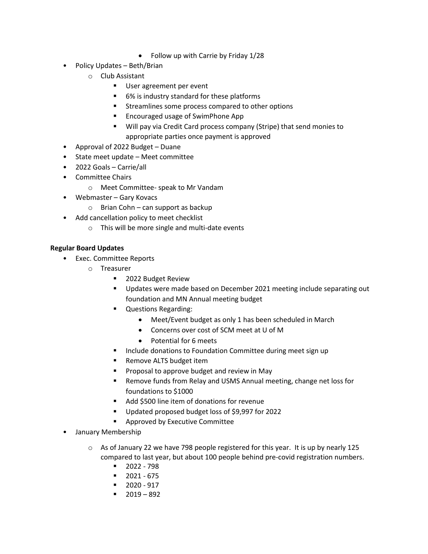- Follow up with Carrie by Friday 1/28
- Policy Updates Beth/Brian
	- o Club Assistant
		- User agreement per event
		- 6% is industry standard for these platforms
		- Streamlines some process compared to other options
		- Encouraged usage of SwimPhone App
		- Will pay via Credit Card process company (Stripe) that send monies to appropriate parties once payment is approved
- Approval of 2022 Budget Duane
- State meet update Meet committee
- 2022 Goals Carrie/all
- Committee Chairs
	- o Meet Committee- speak to Mr Vandam
- Webmaster Gary Kovacs
	- $\circ$  Brian Cohn can support as backup
- Add cancellation policy to meet checklist
	- o This will be more single and multi-date events

## **Regular Board Updates**

- Exec. Committee Reports
	- o Treasurer
		- 2022 Budget Review
		- Updates were made based on December 2021 meeting include separating out foundation and MN Annual meeting budget
		- Questions Regarding:
			- Meet/Event budget as only 1 has been scheduled in March
			- Concerns over cost of SCM meet at U of M
			- Potential for 6 meets
		- Include donations to Foundation Committee during meet sign up
		- Remove ALTS budget item
		- Proposal to approve budget and review in May
		- Remove funds from Relay and USMS Annual meeting, change net loss for foundations to \$1000
		- Add \$500 line item of donations for revenue
		- Updated proposed budget loss of \$9,997 for 2022
		- Approved by Executive Committee
- January Membership
	- $\circ$  As of January 22 we have 798 people registered for this year. It is up by nearly 125 compared to last year, but about 100 people behind pre-covid registration numbers.
		- 2022 798
		- 2021 675
		- 2020 917
		- $-2019 892$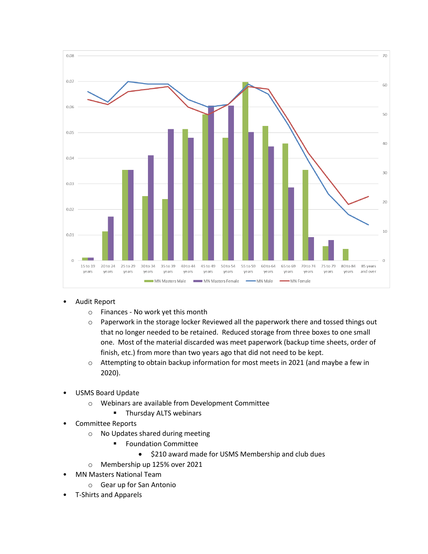

- Audit Report
	- o Finances No work yet this month
	- o Paperwork in the storage locker Reviewed all the paperwork there and tossed things out that no longer needed to be retained. Reduced storage from three boxes to one small one. Most of the material discarded was meet paperwork (backup time sheets, order of finish, etc.) from more than two years ago that did not need to be kept.
	- o Attempting to obtain backup information for most meets in 2021 (and maybe a few in 2020).
- USMS Board Update
	- o Webinars are available from Development Committee
		- Thursday ALTS webinars
- Committee Reports
	- o No Updates shared during meeting
		- Foundation Committee
			- \$210 award made for USMS Membership and club dues
	- o Membership up 125% over 2021
- MN Masters National Team
	- o Gear up for San Antonio
- T-Shirts and Apparels